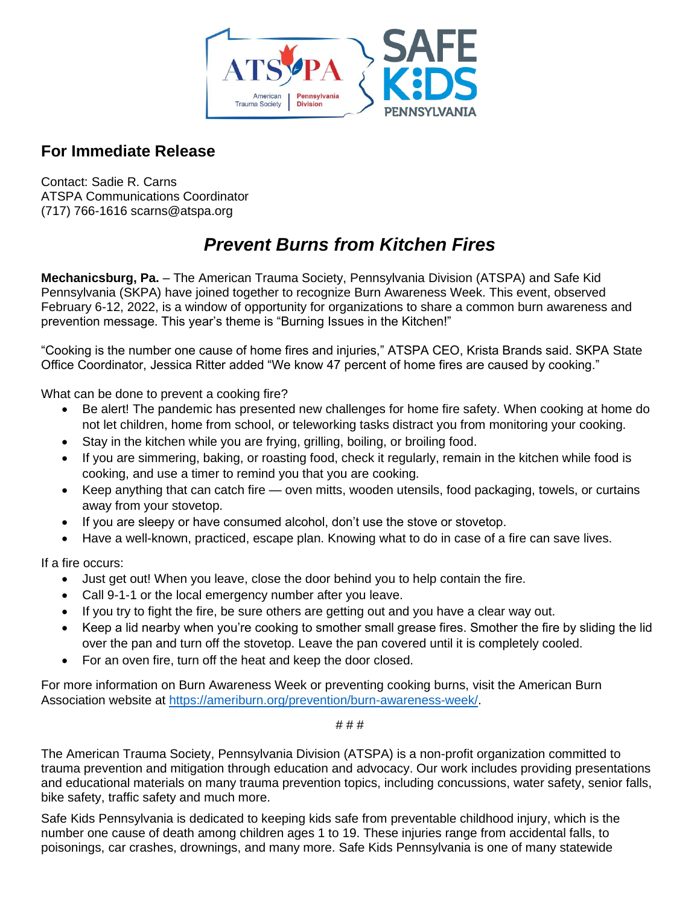

## **For Immediate Release**

Contact: Sadie R. Carns ATSPA Communications Coordinator (717) 766-1616 scarns@atspa.org

## *Prevent Burns from Kitchen Fires*

**Mechanicsburg, Pa.** – The American Trauma Society, Pennsylvania Division (ATSPA) and Safe Kid Pennsylvania (SKPA) have joined together to recognize Burn Awareness Week. This event, observed February 6-12, 2022, is a window of opportunity for organizations to share a common burn awareness and prevention message. This year's theme is "Burning Issues in the Kitchen!"

"Cooking is the number one cause of home fires and injuries," ATSPA CEO, Krista Brands said. SKPA State Office Coordinator, Jessica Ritter added "We know 47 percent of home fires are caused by cooking."

What can be done to prevent a cooking fire?

- Be alert! The pandemic has presented new challenges for home fire safety. When cooking at home do not let children, home from school, or teleworking tasks distract you from monitoring your cooking.
- Stay in the kitchen while you are frying, grilling, boiling, or broiling food.
- If you are simmering, baking, or roasting food, check it regularly, remain in the kitchen while food is cooking, and use a timer to remind you that you are cooking.
- Keep anything that can catch fire oven mitts, wooden utensils, food packaging, towels, or curtains away from your stovetop.
- If you are sleepy or have consumed alcohol, don't use the stove or stovetop.
- Have a well-known, practiced, escape plan. Knowing what to do in case of a fire can save lives.

If a fire occurs:

- Just get out! When you leave, close the door behind you to help contain the fire.
- Call 9-1-1 or the local emergency number after you leave.
- If you try to fight the fire, be sure others are getting out and you have a clear way out.
- Keep a lid nearby when you're cooking to smother small grease fires. Smother the fire by sliding the lid over the pan and turn off the stovetop. Leave the pan covered until it is completely cooled.
- For an oven fire, turn off the heat and keep the door closed.

For more information on Burn Awareness Week or preventing cooking burns, visit the American Burn Association website at [https://ameriburn.org/prevention/burn-awareness-week/.](https://ameriburn.org/prevention/burn-awareness-week/)

# # #

The American Trauma Society, Pennsylvania Division (ATSPA) is a non-profit organization committed to trauma prevention and mitigation through education and advocacy. Our work includes providing presentations and educational materials on many trauma prevention topics, including concussions, water safety, senior falls, bike safety, traffic safety and much more.

Safe Kids Pennsylvania is dedicated to keeping kids safe from preventable childhood injury, which is the number one cause of death among children ages 1 to 19. These injuries range from accidental falls, to poisonings, car crashes, drownings, and many more. Safe Kids Pennsylvania is one of many statewide